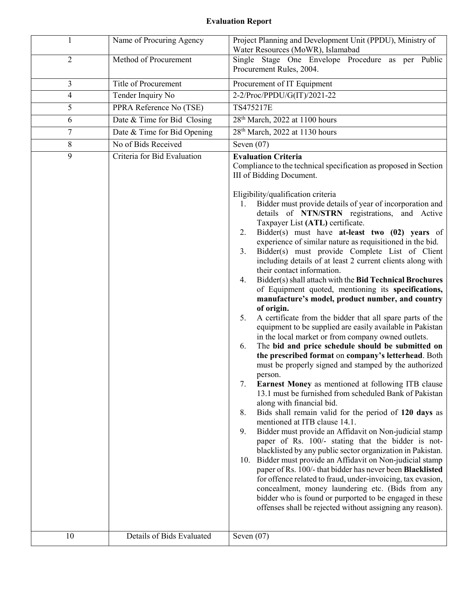## Evaluation Report

| 1              | Name of Procuring Agency    | Project Planning and Development Unit (PPDU), Ministry of<br>Water Resources (MoWR), Islamabad                                                                                                                                                                                                                                                                                                                                                                                                                                                                                                                                                                                                                                                                                                                                                                                                                                                                                                                                                                                                                                                                                                                                                                                                                                                                                                                                                                                                                                                                                                                                                                                                                                                                                                                                                                                                                                                                                                   |
|----------------|-----------------------------|--------------------------------------------------------------------------------------------------------------------------------------------------------------------------------------------------------------------------------------------------------------------------------------------------------------------------------------------------------------------------------------------------------------------------------------------------------------------------------------------------------------------------------------------------------------------------------------------------------------------------------------------------------------------------------------------------------------------------------------------------------------------------------------------------------------------------------------------------------------------------------------------------------------------------------------------------------------------------------------------------------------------------------------------------------------------------------------------------------------------------------------------------------------------------------------------------------------------------------------------------------------------------------------------------------------------------------------------------------------------------------------------------------------------------------------------------------------------------------------------------------------------------------------------------------------------------------------------------------------------------------------------------------------------------------------------------------------------------------------------------------------------------------------------------------------------------------------------------------------------------------------------------------------------------------------------------------------------------------------------------|
| $\overline{2}$ | Method of Procurement       | Single Stage One Envelope Procedure as per Public<br>Procurement Rules, 2004.                                                                                                                                                                                                                                                                                                                                                                                                                                                                                                                                                                                                                                                                                                                                                                                                                                                                                                                                                                                                                                                                                                                                                                                                                                                                                                                                                                                                                                                                                                                                                                                                                                                                                                                                                                                                                                                                                                                    |
| 3              | <b>Title of Procurement</b> | Procurement of IT Equipment                                                                                                                                                                                                                                                                                                                                                                                                                                                                                                                                                                                                                                                                                                                                                                                                                                                                                                                                                                                                                                                                                                                                                                                                                                                                                                                                                                                                                                                                                                                                                                                                                                                                                                                                                                                                                                                                                                                                                                      |
| 4              | Tender Inquiry No           | 2-2/Proc/PPDU/G(IT)/2021-22                                                                                                                                                                                                                                                                                                                                                                                                                                                                                                                                                                                                                                                                                                                                                                                                                                                                                                                                                                                                                                                                                                                                                                                                                                                                                                                                                                                                                                                                                                                                                                                                                                                                                                                                                                                                                                                                                                                                                                      |
| 5              | PPRA Reference No (TSE)     | TS475217E                                                                                                                                                                                                                                                                                                                                                                                                                                                                                                                                                                                                                                                                                                                                                                                                                                                                                                                                                                                                                                                                                                                                                                                                                                                                                                                                                                                                                                                                                                                                                                                                                                                                                                                                                                                                                                                                                                                                                                                        |
| 6              | Date & Time for Bid Closing | 28 <sup>th</sup> March, 2022 at 1100 hours                                                                                                                                                                                                                                                                                                                                                                                                                                                                                                                                                                                                                                                                                                                                                                                                                                                                                                                                                                                                                                                                                                                                                                                                                                                                                                                                                                                                                                                                                                                                                                                                                                                                                                                                                                                                                                                                                                                                                       |
| 7              | Date & Time for Bid Opening | 28 <sup>th</sup> March, 2022 at 1130 hours                                                                                                                                                                                                                                                                                                                                                                                                                                                                                                                                                                                                                                                                                                                                                                                                                                                                                                                                                                                                                                                                                                                                                                                                                                                                                                                                                                                                                                                                                                                                                                                                                                                                                                                                                                                                                                                                                                                                                       |
| 8              | No of Bids Received         | Seven $(07)$                                                                                                                                                                                                                                                                                                                                                                                                                                                                                                                                                                                                                                                                                                                                                                                                                                                                                                                                                                                                                                                                                                                                                                                                                                                                                                                                                                                                                                                                                                                                                                                                                                                                                                                                                                                                                                                                                                                                                                                     |
| 9              | Criteria for Bid Evaluation | <b>Evaluation Criteria</b><br>Compliance to the technical specification as proposed in Section<br>III of Bidding Document.<br>Eligibility/qualification criteria<br>Bidder must provide details of year of incorporation and<br>1.<br>details of NTN/STRN registrations, and Active<br>Taxpayer List (ATL) certificate.<br>Bidder(s) must have at-least two $(02)$ years of<br>2.<br>experience of similar nature as requisitioned in the bid.<br>Bidder(s) must provide Complete List of Client<br>3.<br>including details of at least 2 current clients along with<br>their contact information.<br>Bidder(s) shall attach with the Bid Technical Brochures<br>4.<br>of Equipment quoted, mentioning its specifications,<br>manufacture's model, product number, and country<br>of origin.<br>A certificate from the bidder that all spare parts of the<br>5.<br>equipment to be supplied are easily available in Pakistan<br>in the local market or from company owned outlets.<br>The bid and price schedule should be submitted on<br>6.<br>the prescribed format on company's letterhead. Both<br>must be properly signed and stamped by the authorized<br>person.<br><b>Earnest Money</b> as mentioned at following ITB clause<br>7.<br>13.1 must be furnished from scheduled Bank of Pakistan<br>along with financial bid.<br>Bids shall remain valid for the period of 120 days as<br>8.<br>mentioned at ITB clause 14.1.<br>9.<br>Bidder must provide an Affidavit on Non-judicial stamp<br>paper of Rs. 100/- stating that the bidder is not-<br>blacklisted by any public sector organization in Pakistan.<br>Bidder must provide an Affidavit on Non-judicial stamp<br>10.<br>paper of Rs. 100/- that bidder has never been Blacklisted<br>for offence related to fraud, under-invoicing, tax evasion,<br>concealment, money laundering etc. (Bids from any<br>bidder who is found or purported to be engaged in these<br>offenses shall be rejected without assigning any reason). |
|                |                             |                                                                                                                                                                                                                                                                                                                                                                                                                                                                                                                                                                                                                                                                                                                                                                                                                                                                                                                                                                                                                                                                                                                                                                                                                                                                                                                                                                                                                                                                                                                                                                                                                                                                                                                                                                                                                                                                                                                                                                                                  |
|                |                             |                                                                                                                                                                                                                                                                                                                                                                                                                                                                                                                                                                                                                                                                                                                                                                                                                                                                                                                                                                                                                                                                                                                                                                                                                                                                                                                                                                                                                                                                                                                                                                                                                                                                                                                                                                                                                                                                                                                                                                                                  |
| 10             | Details of Bids Evaluated   | Seven $(07)$                                                                                                                                                                                                                                                                                                                                                                                                                                                                                                                                                                                                                                                                                                                                                                                                                                                                                                                                                                                                                                                                                                                                                                                                                                                                                                                                                                                                                                                                                                                                                                                                                                                                                                                                                                                                                                                                                                                                                                                     |